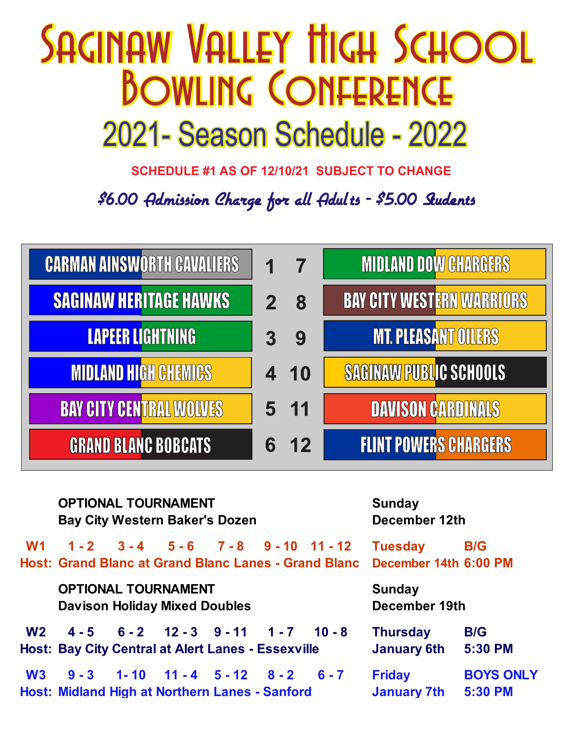## **SAGINAW VALLEY TIIGH SCHOOL BOWLING CONFERENCE** 2021- Season Schedule - 2022

**SCHEDULE #1 AS OF 12/10/21 SUBJECT TO CHANGE**

\$6.00 Admission Charge for all Adults - \$5.00 Sudents



|                | <b>OPTIONAL TOURNAMENT</b><br><b>Bay City Western Baker's Dozen</b> |  |                                                                                                            |         | <b>Sunday</b><br>December 12th          |                             |
|----------------|---------------------------------------------------------------------|--|------------------------------------------------------------------------------------------------------------|---------|-----------------------------------------|-----------------------------|
| W <sub>1</sub> |                                                                     |  | $1 - 2$ $3 - 4$ $5 - 6$ $7 - 8$ $9 - 10$ $11 - 12$<br>Host: Grand Blanc at Grand Blanc Lanes - Grand Blanc |         | <b>Tuesday</b><br>December 14th 6:00 PM | <b>B/G</b>                  |
|                | <b>OPTIONAL TOURNAMENT</b><br><b>Davison Holiday Mixed Doubles</b>  |  |                                                                                                            |         | <b>Sunday</b><br>December 19th          |                             |
| W <sub>2</sub> |                                                                     |  | $4-5$ $6-2$ $12-3$ $9-11$ $1-7$ $10-8$<br><b>Host: Bay City Central at Alert Lanes - Essexville</b>        |         | <b>Thursday</b><br><b>January 6th</b>   | <b>B/G</b><br>5:30 PM       |
| W3             |                                                                     |  | $9 - 3$ 1-10 11-4 5-12 8-2<br>Host: Midland High at Northern Lanes - Sanford                               | $6 - 7$ | <b>Friday</b><br><b>January 7th</b>     | <b>BOYS ONLY</b><br>5:30 PM |